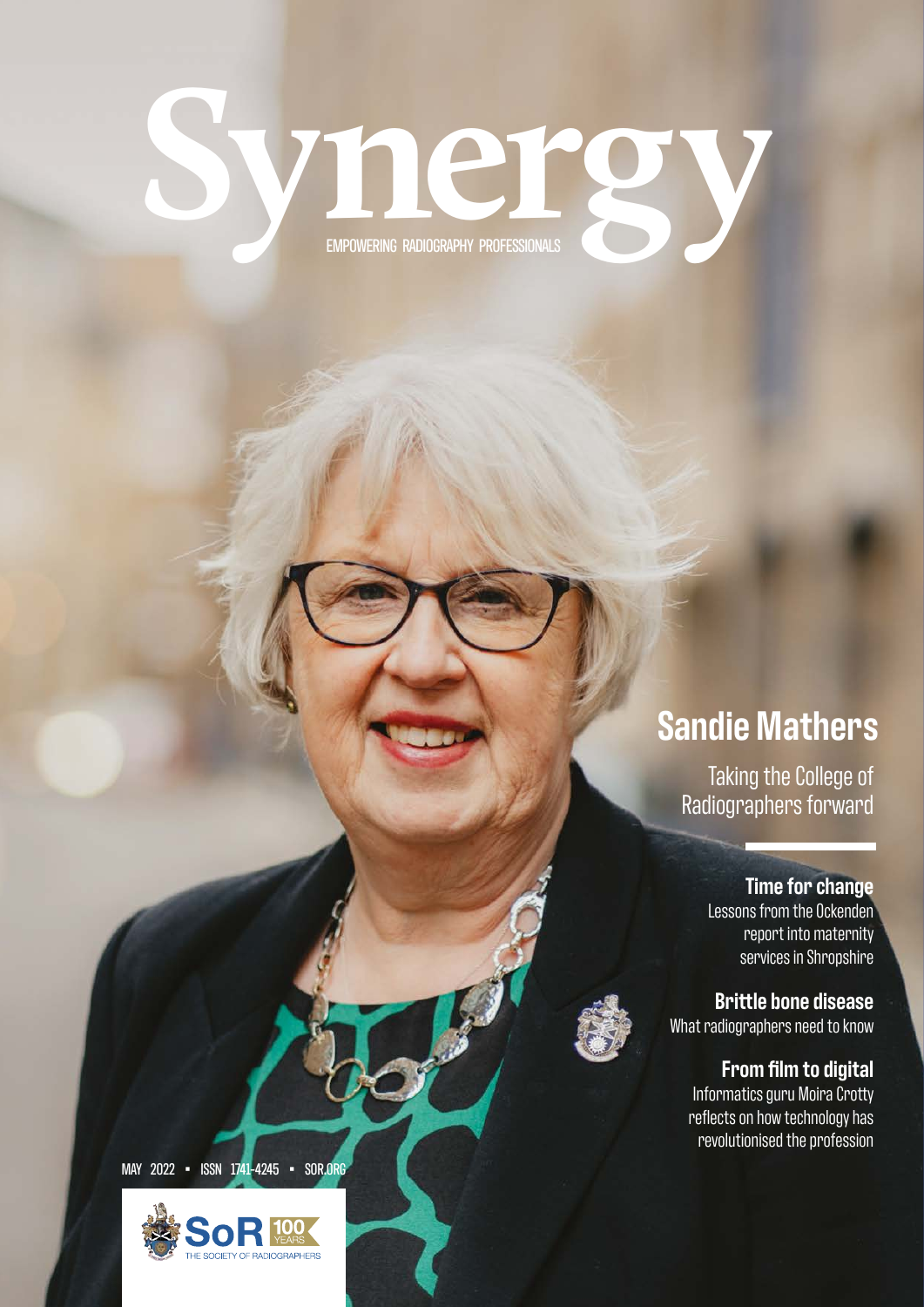# **Synergy** EMPOWERING RADIOGRAPHY PROFESSIONALS

### **Sandie Mathers**

Taking the College of Radiographers forward

**Time for change**

Lessons from the Ockenden report into maternity services in Shropshire

**Brittle bone disease** What radiographers need to know

#### **From film to digital**

Informatics guru Moira Crotty reflects on how technology has revolutionised the profession

MAY 2022 • ISSN 1741-4245 • SOR.ORG

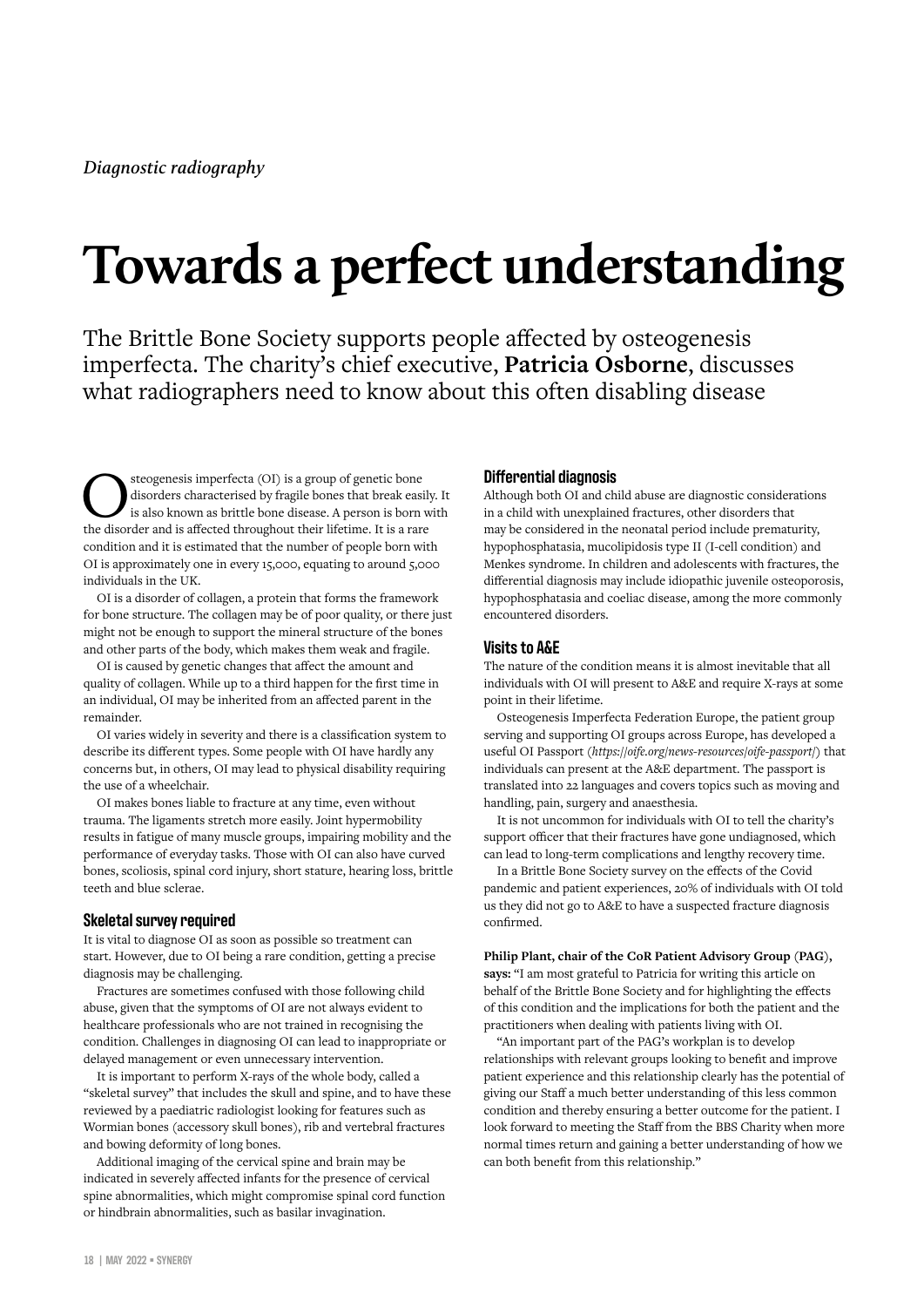## **Towards a perfect understanding**

The Brittle Bone Society supports people affected by osteogenesis imperfecta. The charity's chief executive, **Patricia Osborne**, discusses what radiographers need to know about this often disabling disease

Steogenesis imperfecta (OI) is a group of genetic bone<br>disorders characterised by fragile bones that break easily. It<br>is also known as brittle bone disease. A person is born with<br>the disorder and is affected throughout the disorders characterised by fragile bones that break easily. It the disorder and is affected throughout their lifetime. It is a rare condition and it is estimated that the number of people born with OI is approximately one in every 15,000, equating to around 5,000 individuals in the UK.

OI is a disorder of collagen, a protein that forms the framework for bone structure. The collagen may be of poor quality, or there just might not be enough to support the mineral structure of the bones and other parts of the body, which makes them weak and fragile.

OI is caused by genetic changes that affect the amount and quality of collagen. While up to a third happen for the first time in an individual, OI may be inherited from an affected parent in the remainder.

OI varies widely in severity and there is a classification system to describe its different types. Some people with OI have hardly any concerns but, in others, OI may lead to physical disability requiring the use of a wheelchair.

OI makes bones liable to fracture at any time, even without trauma. The ligaments stretch more easily. Joint hypermobility results in fatigue of many muscle groups, impairing mobility and the performance of everyday tasks. Those with OI can also have curved bones, scoliosis, spinal cord injury, short stature, hearing loss, brittle teeth and blue sclerae.

#### **Skeletal survey required**

It is vital to diagnose OI as soon as possible so treatment can start. However, due to OI being a rare condition, getting a precise diagnosis may be challenging.

Fractures are sometimes confused with those following child abuse, given that the symptoms of OI are not always evident to healthcare professionals who are not trained in recognising the condition. Challenges in diagnosing OI can lead to inappropriate or delayed management or even unnecessary intervention.

It is important to perform X-rays of the whole body, called a "skeletal survey" that includes the skull and spine, and to have these reviewed by a paediatric radiologist looking for features such as Wormian bones (accessory skull bones), rib and vertebral fractures and bowing deformity of long bones.

Additional imaging of the cervical spine and brain may be indicated in severely affected infants for the presence of cervical spine abnormalities, which might compromise spinal cord function or hindbrain abnormalities, such as basilar invagination.

#### **Differential diagnosis**

Although both OI and child abuse are diagnostic considerations in a child with unexplained fractures, other disorders that may be considered in the neonatal period include prematurity, hypophosphatasia, mucolipidosis type II (I-cell condition) and Menkes syndrome. In children and adolescents with fractures, the differential diagnosis may include idiopathic juvenile osteoporosis, hypophosphatasia and coeliac disease, among the more commonly encountered disorders.

#### **Visits to A&E**

The nature of the condition means it is almost inevitable that all individuals with OI will present to A&E and require X-rays at some point in their lifetime.

Osteogenesis Imperfecta Federation Europe, the patient group serving and supporting OI groups across Europe, has developed a useful OI Passport (*https://oife.org/news-resources/oife-passport/*) that individuals can present at the A&E department. The passport is translated into 22 languages and covers topics such as moving and handling, pain, surgery and anaesthesia.

It is not uncommon for individuals with OI to tell the charity's support officer that their fractures have gone undiagnosed, which can lead to long-term complications and lengthy recovery time.

In a Brittle Bone Society survey on the effects of the Covid pandemic and patient experiences, 20% of individuals with OI told us they did not go to A&E to have a suspected fracture diagnosis confirmed.

**Philip Plant, chair of the CoR Patient Advisory Group (PAG), says:** "I am most grateful to Patricia for writing this article on behalf of the Brittle Bone Society and for highlighting the effects of this condition and the implications for both the patient and the practitioners when dealing with patients living with OI.

"An important part of the PAG's workplan is to develop relationships with relevant groups looking to benefit and improve patient experience and this relationship clearly has the potential of giving our Staff a much better understanding of this less common condition and thereby ensuring a better outcome for the patient. I look forward to meeting the Staff from the BBS Charity when more normal times return and gaining a better understanding of how we can both benefit from this relationship."